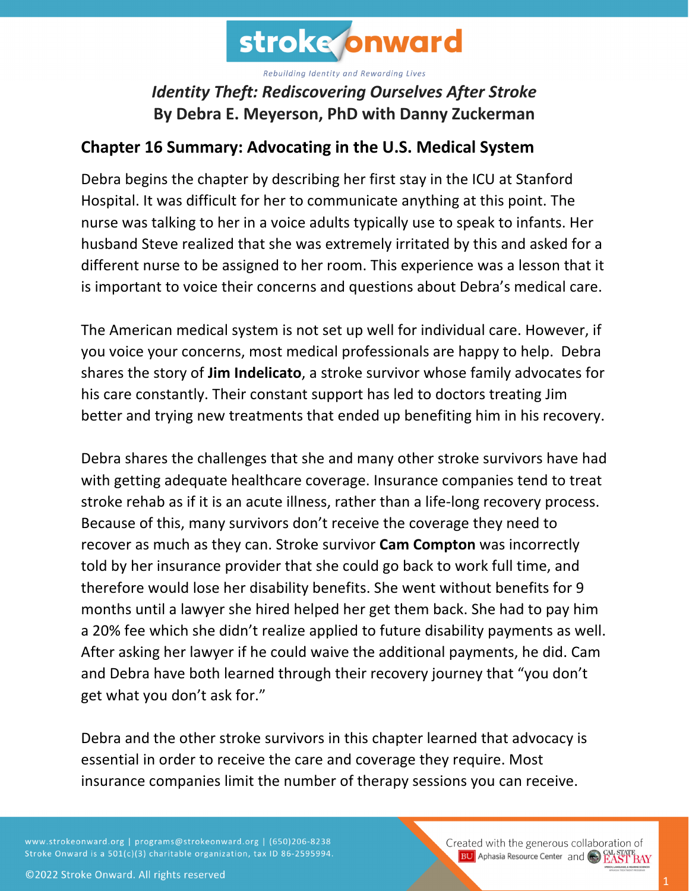

## *Identity Theft: Rediscovering Ourselves After Stroke* **By Debra E. Meyerson, PhD with Danny Zuckerman**

## **Chapter 16 Summary: Advocating in the U.S. Medical System**

Debra begins the chapter by describing her first stay in the ICU at Stanford Hospital. It was difficult for her to communicate anything at this point. The nurse was talking to her in a voice adults typically use to speak to infants. Her husband Steve realized that she was extremely irritated by this and asked for a different nurse to be assigned to her room. This experience was a lesson that it is important to voice their concerns and questions about Debra's medical care.

The American medical system is not set up well for individual care. However, if you voice your concerns, most medical professionals are happy to help. Debra shares the story of **Jim Indelicato**, a stroke survivor whose family advocates for his care constantly. Their constant support has led to doctors treating Jim better and trying new treatments that ended up benefiting him in his recovery.

Debra shares the challenges that she and many other stroke survivors have had with getting adequate healthcare coverage. Insurance companies tend to treat stroke rehab as if it is an acute illness, rather than a life-long recovery process. Because of this, many survivors don't receive the coverage they need to recover as much as they can. Stroke survivor **Cam Compton** was incorrectly told by her insurance provider that she could go back to work full time, and therefore would lose her disability benefits. She went without benefits for 9 months until a lawyer she hired helped her get them back. She had to pay him a 20% fee which she didn't realize applied to future disability payments as well. After asking her lawyer if he could waive the additional payments, he did. Cam and Debra have both learned through their recovery journey that "you don't get what you don't ask for."

Debra and the other stroke survivors in this chapter learned that advocacy is essential in order to receive the care and coverage they require. Most insurance companies limit the number of therapy sessions you can receive.

www.strokeonward.org | programs@strokeonward.org | (650)206-8238 Stroke Onward is a 501(c)(3) charitable organization, tax ID 86-2595994. Created with the generous collaboration of **BU** Aphasia Resource Center and **COL STATE BAY**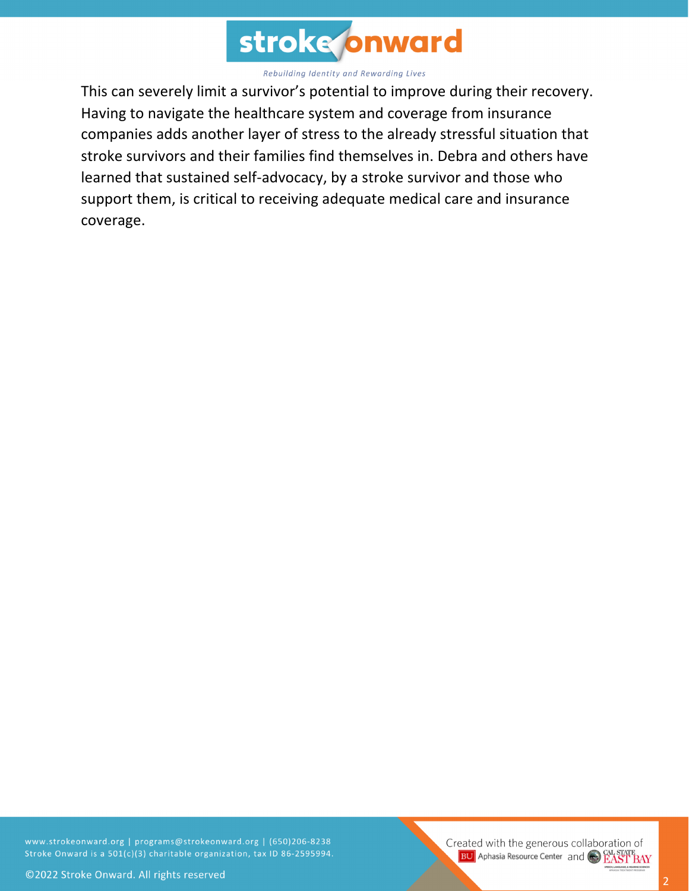

This can severely limit a survivor's potential to improve during their recovery. Having to navigate the healthcare system and coverage from insurance companies adds another layer of stress to the already stressful situation that stroke survivors and their families find themselves in. Debra and others have learned that sustained self-advocacy, by a stroke survivor and those who support them, is critical to receiving adequate medical care and insurance coverage.

www.strokeonward.org | programs@strokeonward.org | (650)206-8238 Stroke Onward is a 501(c)(3) charitable organization, tax ID 86-2595994.

Created with the generous collaboration of **BU** Aphasia Resource Center and **COL STATE**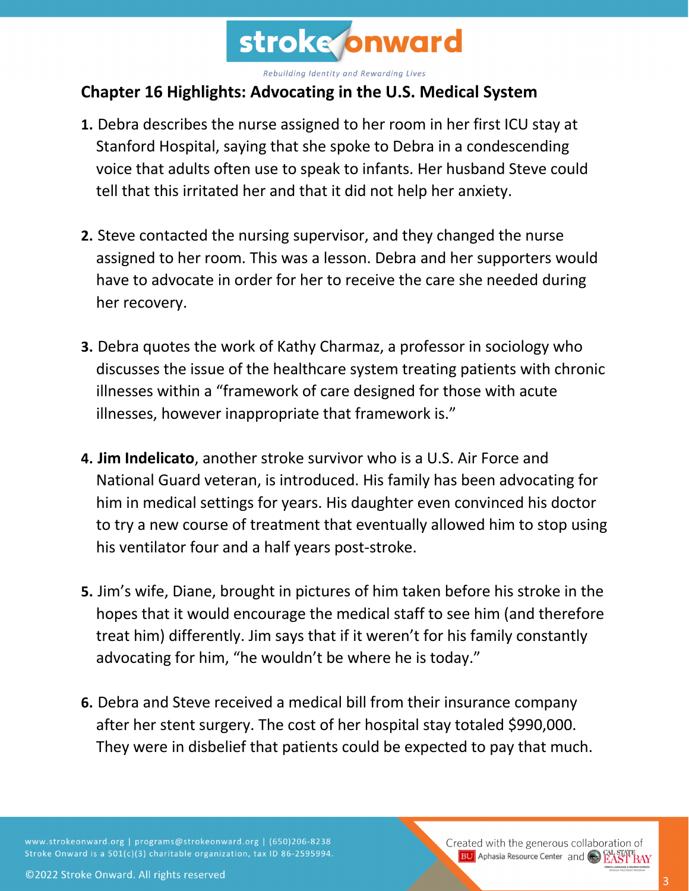

## **Chapter 16 Highlights: Advocating in the U.S. Medical System**

- **1.** Debra describes the nurse assigned to her room in her first ICU stay at Stanford Hospital, saying that she spoke to Debra in a condescending voice that adults often use to speak to infants. Her husband Steve could tell that this irritated her and that it did not help her anxiety.
- **2.** Steve contacted the nursing supervisor, and they changed the nurse assigned to her room. This was a lesson. Debra and her supporters would have to advocate in order for her to receive the care she needed during her recovery.
- **3.** Debra quotes the work of Kathy Charmaz, a professor in sociology who discusses the issue of the healthcare system treating patients with chronic illnesses within a "framework of care designed for those with acute illnesses, however inappropriate that framework is."
- **4. Jim Indelicato**, another stroke survivor who is a U.S. Air Force and National Guard veteran, is introduced. His family has been advocating for him in medical settings for years. His daughter even convinced his doctor to try a new course of treatment that eventually allowed him to stop using his ventilator four and a half years post-stroke.
- **5.** Jim's wife, Diane, brought in pictures of him taken before his stroke in the hopes that it would encourage the medical staff to see him (and therefore treat him) differently. Jim says that if it weren't for his family constantly advocating for him, "he wouldn't be where he is today."
- **6.** Debra and Steve received a medical bill from their insurance company after her stent surgery. The cost of her hospital stay totaled \$990,000. They were in disbelief that patients could be expected to pay that much.

www.strokeonward.org | programs@strokeonward.org | (650)206-8238 Stroke Onward is a 501(c)(3) charitable organization, tax ID 86-2595994.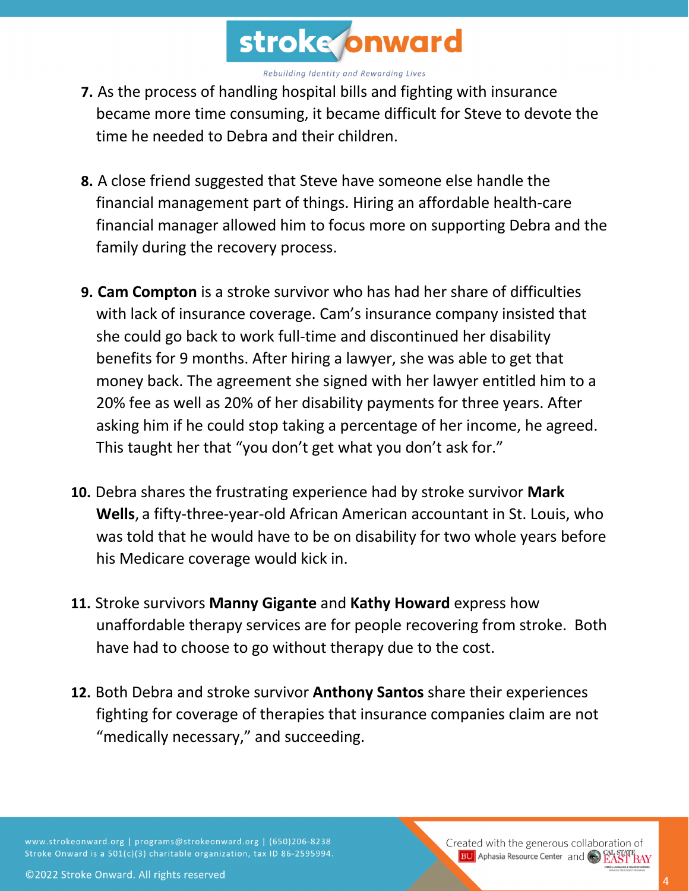

- **7.** As the process of handling hospital bills and fighting with insurance became more time consuming, it became difficult for Steve to devote the time he needed to Debra and their children.
- **8.** A close friend suggested that Steve have someone else handle the financial management part of things. Hiring an affordable health-care financial manager allowed him to focus more on supporting Debra and the family during the recovery process.
- **9. Cam Compton** is a stroke survivor who has had her share of difficulties with lack of insurance coverage. Cam's insurance company insisted that she could go back to work full-time and discontinued her disability benefits for 9 months. After hiring a lawyer, she was able to get that money back. The agreement she signed with her lawyer entitled him to a 20% fee as well as 20% of her disability payments for three years. After asking him if he could stop taking a percentage of her income, he agreed. This taught her that "you don't get what you don't ask for."
- **10.** Debra shares the frustrating experience had by stroke survivor **Mark Wells**, a fifty-three-year-old African American accountant in St. Louis, who was told that he would have to be on disability for two whole years before his Medicare coverage would kick in.
- **11.** Stroke survivors **Manny Gigante** and **Kathy Howard** express how unaffordable therapy services are for people recovering from stroke. Both have had to choose to go without therapy due to the cost.
- **12.** Both Debra and stroke survivor **Anthony Santos** share their experiences fighting for coverage of therapies that insurance companies claim are not "medically necessary," and succeeding.

www.strokeonward.org | programs@strokeonward.org | (650)206-8238 Stroke Onward is a 501(c)(3) charitable organization, tax ID 86-2595994. Created with the generous collaboration of **BU** Aphasia Resource Center and **CAL STATE**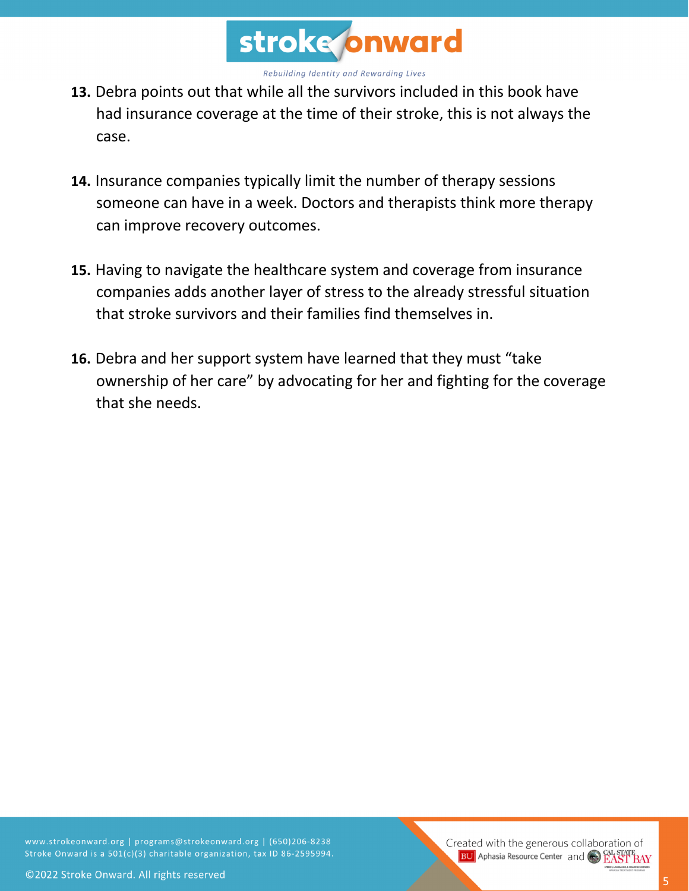

- **13.** Debra points out that while all the survivors included in this book have had insurance coverage at the time of their stroke, this is not always the case.
- **14.** Insurance companies typically limit the number of therapy sessions someone can have in a week. Doctors and therapists think more therapy can improve recovery outcomes.
- **15.** Having to navigate the healthcare system and coverage from insurance companies adds another layer of stress to the already stressful situation that stroke survivors and their families find themselves in.
- **16.** Debra and her support system have learned that they must "take ownership of her care" by advocating for her and fighting for the coverage that she needs.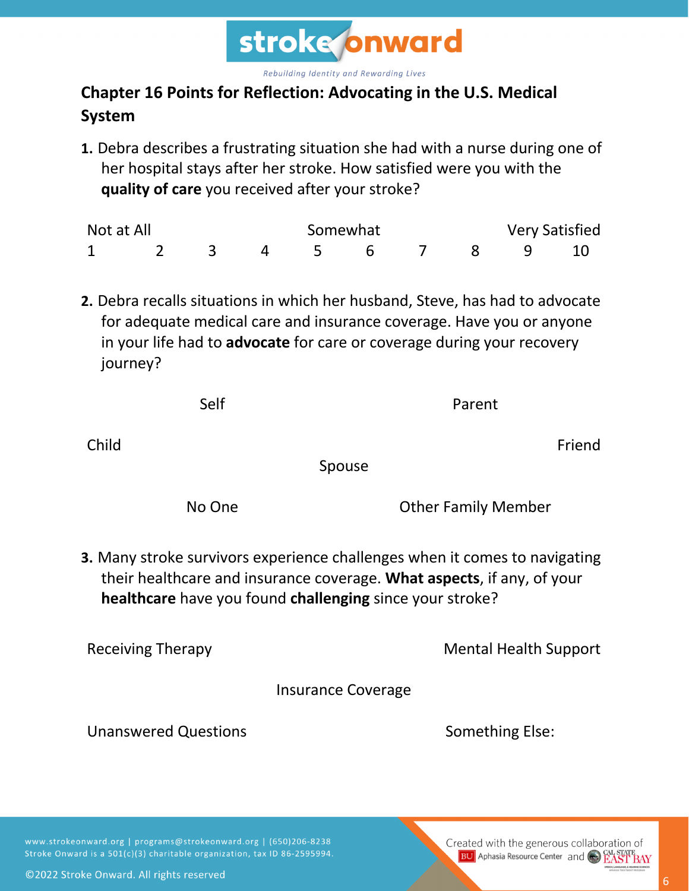

## **Chapter 16 Points for Reflection: Advocating in the U.S. Medical System**

**1.** Debra describes a frustrating situation she had with a nurse during one of her hospital stays after her stroke. How satisfied were you with the **quality of care** you received after your stroke?

| Not at All |  |  | Somewhat |  |  | <b>Very Satisfied</b> |  |          |  |
|------------|--|--|----------|--|--|-----------------------|--|----------|--|
|            |  |  |          |  |  |                       |  | 7 8 9 10 |  |

**2.** Debra recalls situations in which her husband, Steve, has had to advocate for adequate medical care and insurance coverage. Have you or anyone in your life had to **advocate** for care or coverage during your recovery journey?

| ۰, |  |  |
|----|--|--|
|    |  |  |

Parent

Child

Friend

Spouse

No One **Other Family Member** 

**3.** Many stroke survivors experience challenges when it comes to navigating their healthcare and insurance coverage. **What aspects**, if any, of your **healthcare** have you found **challenging** since your stroke?

Receiving Therapy **Mental Health Support** 

Insurance Coverage

Unanswered Questions **Something Else:** Something Else:

www.strokeonward.org | programs@strokeonward.org | (650)206-8238 Stroke Onward is a 501(c)(3) charitable organization, tax ID 86-2595994.